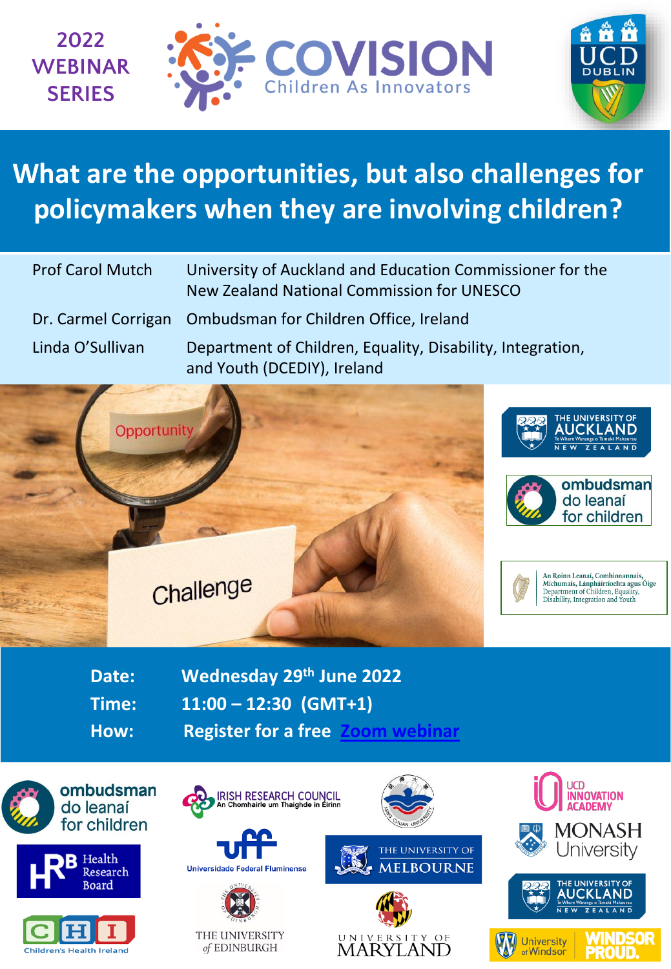



## **What are the opportunities, but also challenges for policymakers when they are involving children?**

| <b>Prof Carol Mutch</b> | University of Auckland and Education Commissioner for the<br>New Zealand National Commission for UNESCO |
|-------------------------|---------------------------------------------------------------------------------------------------------|
|                         | Dr. Carmel Corrigan Ombudsman for Children Office, Ireland                                              |
| Linda O'Sullivan        | Department of Children, Equality, Disability, Integration,<br>and Youth (DCEDIY), Ireland               |



**Date: Wednesday 29th June 2022 Time: 11:00 – 12:30 (GMT+1)**

**How: Register for a free [Zoom webinar](https://ucd-ie.zoom.us/webinar/register/WN_v7BFNWpTTlyo00qGLA0wEQ)** 



ombudsman do leanaí for children





IRISH RESEARCH COUNCIL<br>An Chomhairle um Thaighde in Éirinn





THE UNIVERSITY of EDINBURGH